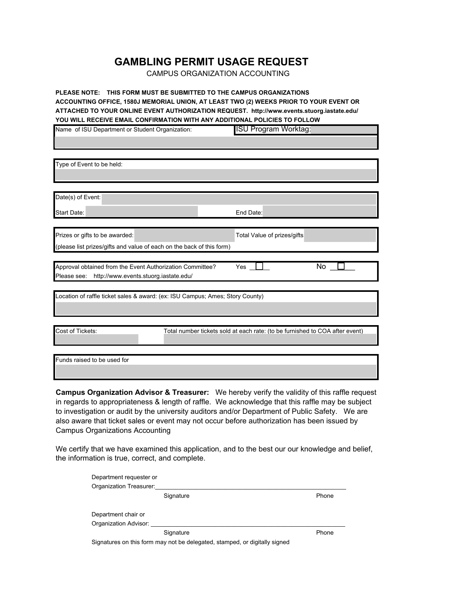## **GAMBLING PERMIT USAGE REQUEST**

CAMPUS ORGANIZATION ACCOUNTING

**PLEASE NOTE: THIS FORM MUST BE SUBMITTED TO THE CAMPUS ORGANIZATIONS ACCOUNTING OFFICE, 1580J MEMORIAL UNION, AT LEAST TWO (2) WEEKS PRIOR TO YOUR EVENT OR ATTACHED TO YOUR ONLINE EVENT AUTHORIZATION REQUEST. http://www.events.stuorg.iastate.edu/ YOU WILL RECEIVE EMAIL CONFIRMATION WITH ANY ADDITIONAL POLICIES TO FOLLOW**

| Name of ISU Department or Student Organization:                               | <b>ISU Program Worktag:</b>                                                  |
|-------------------------------------------------------------------------------|------------------------------------------------------------------------------|
|                                                                               |                                                                              |
|                                                                               |                                                                              |
| Type of Event to be held:                                                     |                                                                              |
|                                                                               |                                                                              |
|                                                                               |                                                                              |
| Date(s) of Event:                                                             |                                                                              |
| <b>Start Date:</b>                                                            | End Date:                                                                    |
|                                                                               |                                                                              |
| Prizes or gifts to be awarded:                                                | Total Value of prizes/gifts                                                  |
| (please list prizes/gifts and value of each on the back of this form)         |                                                                              |
|                                                                               |                                                                              |
| Approval obtained from the Event Authorization Committee?                     | No<br>Yes                                                                    |
| http://www.events.stuorg.iastate.edu/<br>Please see:                          |                                                                              |
| Location of raffle ticket sales & award: (ex: ISU Campus; Ames; Story County) |                                                                              |
|                                                                               |                                                                              |
|                                                                               |                                                                              |
|                                                                               |                                                                              |
| Cost of Tickets:                                                              | Total number tickets sold at each rate: (to be furnished to COA after event) |
|                                                                               |                                                                              |
| Funds raised to be used for                                                   |                                                                              |
|                                                                               |                                                                              |

**Campus Organization Advisor & Treasurer:** We hereby verify the validity of this raffle request in regards to appropriateness & length of raffle. We acknowledge that this raffle may be subject to investigation or audit by the university auditors and/or Department of Public Safety. We are also aware that ticket sales or event may not occur before authorization has been issued by Campus Organizations Accounting

We certify that we have examined this application, and to the best our our knowledge and belief, the information is true, correct, and complete.

| Department requester or |                                                                            |       |
|-------------------------|----------------------------------------------------------------------------|-------|
| Organization Treasurer: |                                                                            |       |
|                         | Signature                                                                  | Phone |
|                         |                                                                            |       |
| Department chair or     |                                                                            |       |
| Organization Advisor:   |                                                                            |       |
|                         | Signature                                                                  | Phone |
|                         | Signatures on this form may not be delegated, stamped, or digitally signed |       |